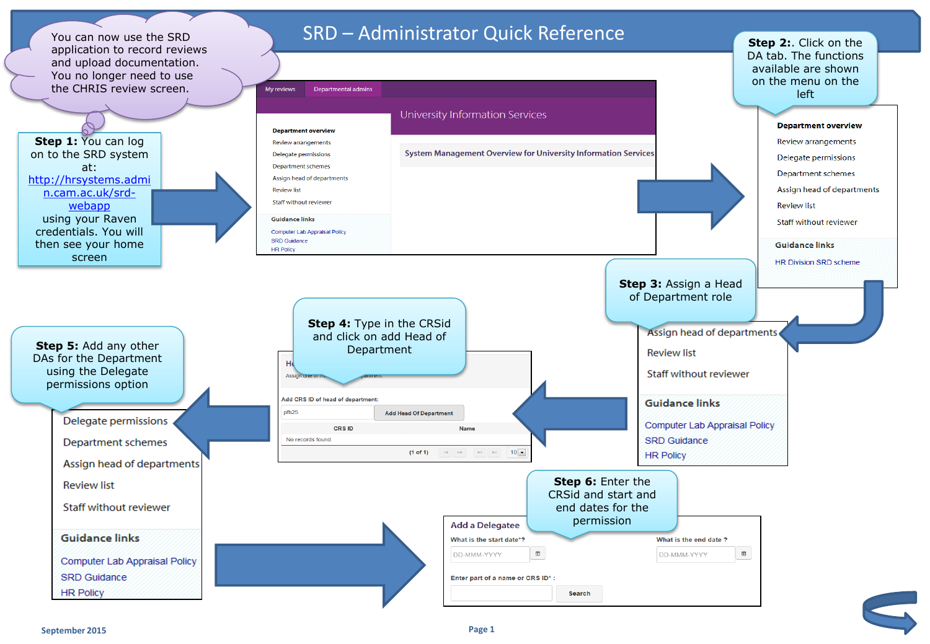